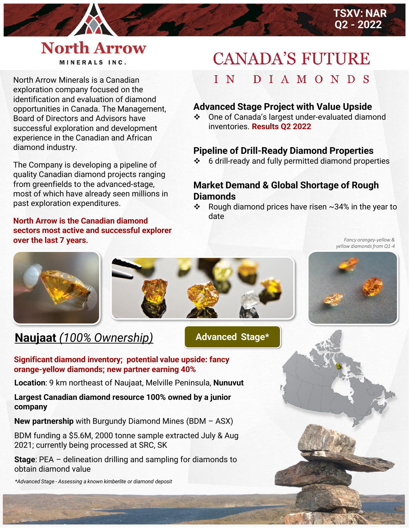## **North Arrow** MINERALS INC.

North Arrow Minerals is a Canadian exploration company focused on the identification and evaluation of diamond opportunities in Canada. The Management, Board of Directors and Advisors have successful exploration and development experience in the Canadian and African diamond industry.

The Company is developing a pipeline of quality Canadian diamond projects ranging from greenfields to the advanced-stage, most of which have already seen millions in past exploration expenditures.

**North Arrow is the Canadian diamond sectors most active and successful explorer over the last 7 years.**

# **CANADA'S FUTURE**

#### DIAMONDS  $I N$

#### **Advanced Stage Project with Value Upside**

❖ One of Canada's largest under-evaluated diamond inventories. **Results Q2 2022**

### **Pipeline of Drill-Ready Diamond Properties**

❖ 6 drill-ready and fully permitted diamond properties

### **Market Demand & Global Shortage of Rough Diamonds**

❖ Rough diamond prices have risen  $\sim$ 34% in the year to date

> *Fancy orangey-yellow & yellow diamonds from Q1-4*



## **Naujaat** *(100% Ownership)*

**Advanced Stage\***

#### **Significant diamond inventory; potential value upside: fancy orange-yellow diamonds; new partner earning 40%**

**Location**: 9 km northeast of Naujaat, Melville Peninsula, **Nunuvut**

#### **Largest Canadian diamond resource 100% owned by a junior company**

**New partnership** with Burgundy Diamond Mines (BDM – ASX)

BDM funding a \$5.6M, 2000 tonne sample extracted July & Aug 2021; currently being processed at SRC, SK

**Stage**: PEA – delineation drilling and sampling for diamonds to obtain diamond value

*\*Advanced Stage - Assessing a known kimberlite or diamond deposit*